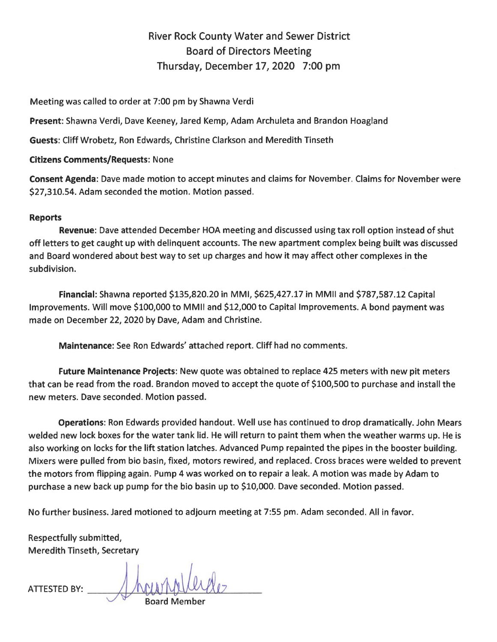## River Rock County Water and Sewer District Board of Directors Meeting Thursday, December 17, 2020 7:00 pm

Meeting was called to order at 7:00 pm by Shawna Verdi

**Present:** Shawna Verdi, Dave Keeney, Jared Kemp, Adam Archuleta and Brandon Hoagland

**Guests:** Cliff Wrobetz, Ron Edwards, Christine Clarkson and Meredith Tinseth

## **Citizens Comments/Requests:** None

**Consent Agenda:** Dave made motion to accept minutes and claims for November. Claims for November were \$27,310.54. Adam seconded the motion. Motion passed.

## **Reports**

**Revenue:** Dave attended December HOA meeting and discussed using tax roll option instead of shut off letters to get caught up with delinquent accounts. The new apartment complex being built was discussed and Board wondered about best way to set up charges and how it may affect other complexes in the subdivision.

**Financial:** Shawna reported \$135,820.20 in MMI, \$625,427.17 in MMII and \$787,587.12 Capital Improvements. Will move \$100,000 to MMII and \$12,000 to Capital Improvements. A bond payment was made on December 22, 2020 by Dave, Adam and Christine.

**Maintenance:** See Ron Edwards' attached report. Cliff had no comments.

**Future Maintenance Projects:** New quote was obtained to replace 425 meters with new pit meters that can be read from the road. Brandon moved to accept the quote of \$100,500 to purchase and install the new meters. Dave seconded. Motion passed.

**Operations:** Ron Edwards provided handout. Well use has continued to drop dramatically. John Mears welded new lock boxes for the water tank lid. He will return to paint them when the weather warms up. He is also working on locks for the lift station latches. Advanced Pump repainted the pipes in the booster building. Mixers were pulled from bio basin, fixed, motors rewired, and replaced. Cross braces were welded to prevent the motors from flipping again. Pump 4 was worked on to repair a leak. A motion was made by Adam to purchase a new back up pump for the bio basin up to \$10,000. Dave seconded. Motion passed.

No further business. Jared motioned to adjourn meeting at 7:55 pm. Adam seconded. All in favor.

Respectfully submitted, Meredith Tinseth, Secretary

 $A$ TTESTED BY:  $\longrightarrow$  hourhollerde **JU** Board Member